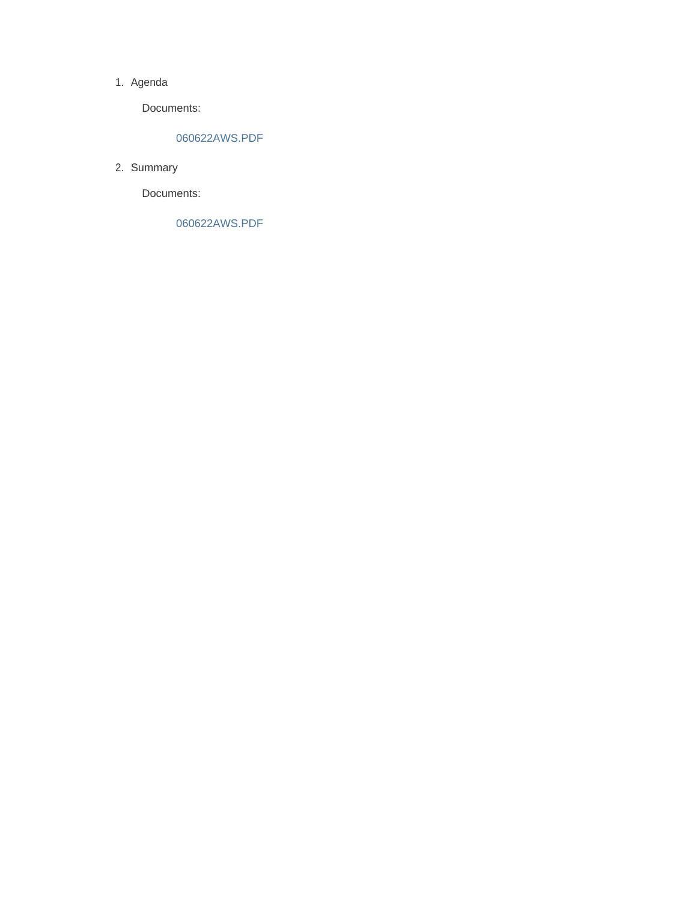#### 1. Agenda

Documents:

### 060622AWS.PDF

2. Summary

Documents:

060622AWS.PDF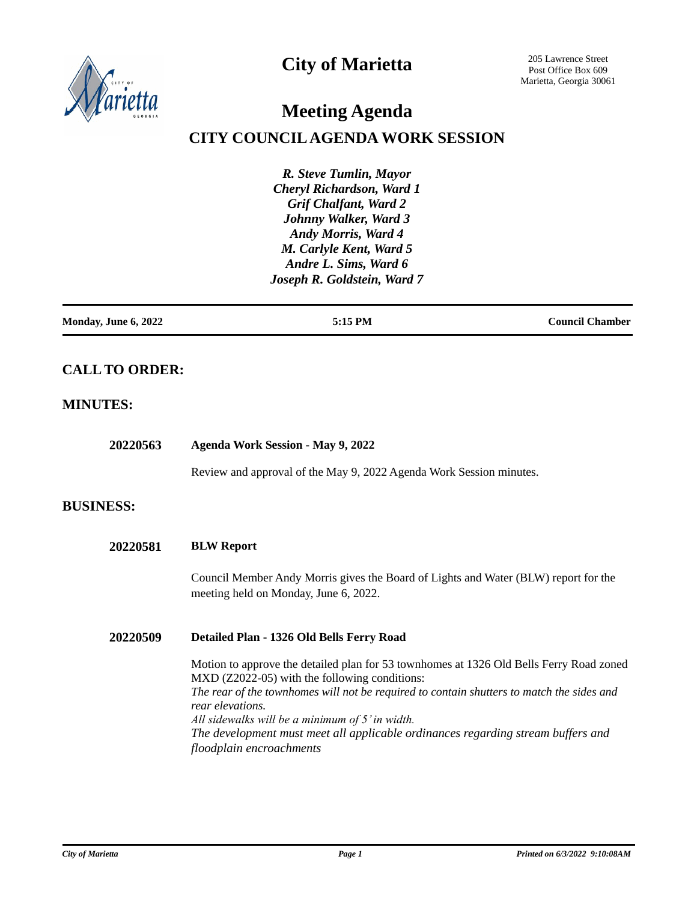

## **City of Marietta**

205 Lawrence Street Post Office Box 609 Marietta, Georgia 30061

# **Meeting Agenda**

## **CITY COUNCIL AGENDA WORK SESSION**

*R. Steve Tumlin, Mayor Cheryl Richardson, Ward 1 Grif Chalfant, Ward 2 Johnny Walker, Ward 3 Andy Morris, Ward 4 M. Carlyle Kent, Ward 5 Andre L. Sims, Ward 6 Joseph R. Goldstein, Ward 7*

| Monday, June 6, 2022 | 5:15 PM | <b>Council Chamber</b> |
|----------------------|---------|------------------------|
|                      |         |                        |

## **CALL TO ORDER:**

## **MINUTES:**

| 20220563         | <b>Agenda Work Session - May 9, 2022</b>                                                                                                                                                                                                                                                                                                                                                                                     |  |
|------------------|------------------------------------------------------------------------------------------------------------------------------------------------------------------------------------------------------------------------------------------------------------------------------------------------------------------------------------------------------------------------------------------------------------------------------|--|
|                  | Review and approval of the May 9, 2022 Agenda Work Session minutes.                                                                                                                                                                                                                                                                                                                                                          |  |
| <b>BUSINESS:</b> |                                                                                                                                                                                                                                                                                                                                                                                                                              |  |
| 20220581         | <b>BLW Report</b>                                                                                                                                                                                                                                                                                                                                                                                                            |  |
|                  | Council Member Andy Morris gives the Board of Lights and Water (BLW) report for the<br>meeting held on Monday, June 6, 2022.                                                                                                                                                                                                                                                                                                 |  |
| 20220509         | Detailed Plan - 1326 Old Bells Ferry Road                                                                                                                                                                                                                                                                                                                                                                                    |  |
|                  | Motion to approve the detailed plan for 53 townhomes at 1326 Old Bells Ferry Road zoned<br>MXD (Z2022-05) with the following conditions:<br>The rear of the townhomes will not be required to contain shutters to match the sides and<br>rear elevations.<br>All sidewalks will be a minimum of 5' in width.<br>The development must meet all applicable ordinances regarding stream buffers and<br>floodplain encroachments |  |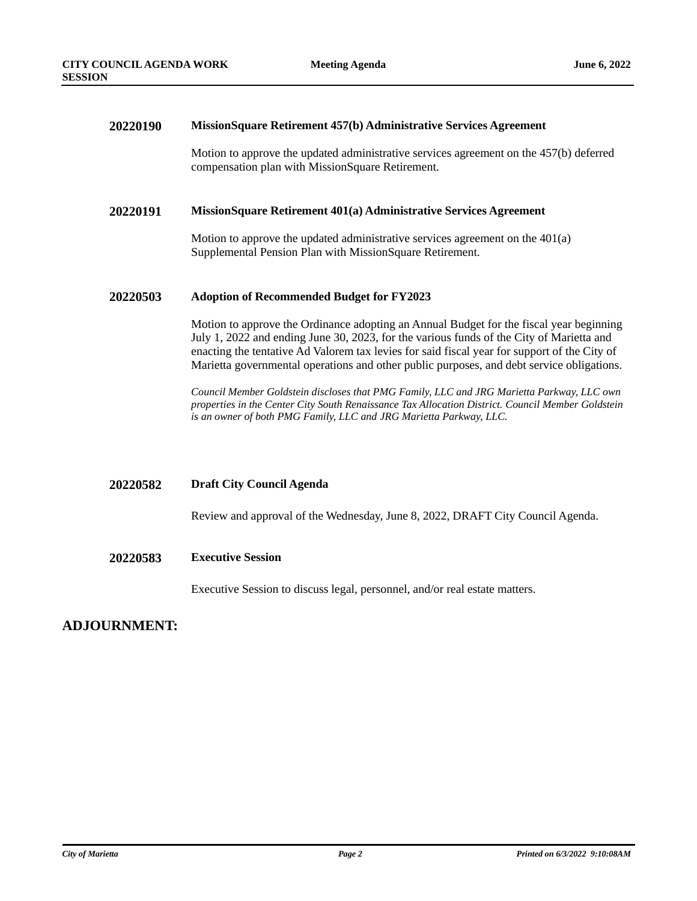#### **20220190 MissionSquare Retirement 457(b) Administrative Services Agreement**

Motion to approve the updated administrative services agreement on the 457(b) deferred compensation plan with MissionSquare Retirement.

#### **20220191 MissionSquare Retirement 401(a) Administrative Services Agreement**

Motion to approve the updated administrative services agreement on the 401(a) Supplemental Pension Plan with MissionSquare Retirement.

#### **20220503 Adoption of Recommended Budget for FY2023**

Motion to approve the Ordinance adopting an Annual Budget for the fiscal year beginning July 1, 2022 and ending June 30, 2023, for the various funds of the City of Marietta and enacting the tentative Ad Valorem tax levies for said fiscal year for support of the City of Marietta governmental operations and other public purposes, and debt service obligations.

*Council Member Goldstein discloses that PMG Family, LLC and JRG Marietta Parkway, LLC own properties in the Center City South Renaissance Tax Allocation District. Council Member Goldstein is an owner of both PMG Family, LLC and JRG Marietta Parkway, LLC.*

#### **20220582 Draft City Council Agenda**

Review and approval of the Wednesday, June 8, 2022, DRAFT City Council Agenda.

#### **20220583 Executive Session**

Executive Session to discuss legal, personnel, and/or real estate matters.

### **ADJOURNMENT:**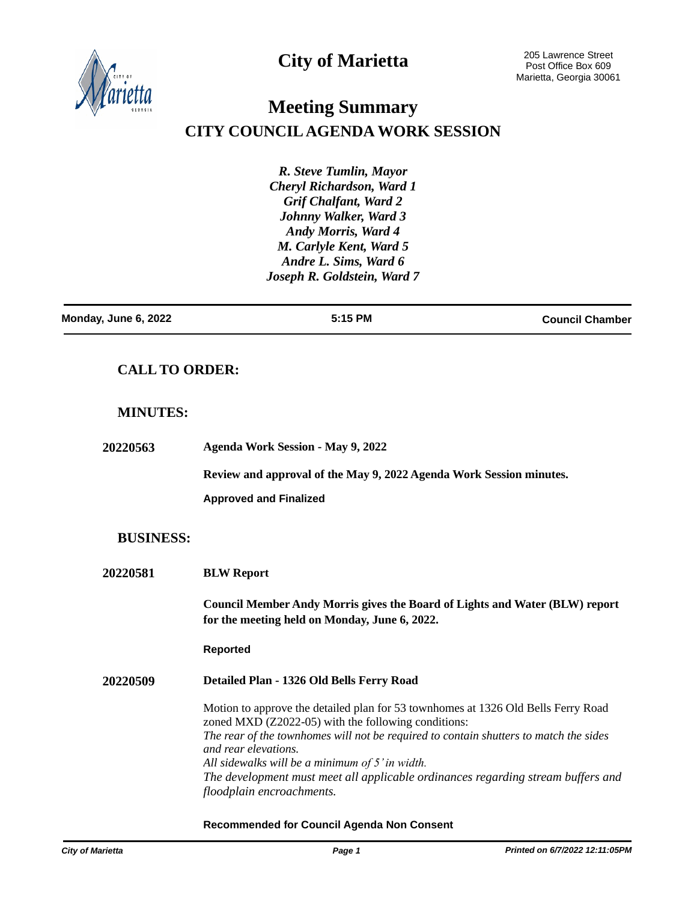

## **City of Marietta**

# **Meeting Summary CITY COUNCIL AGENDA WORK SESSION**

*R. Steve Tumlin, Mayor Cheryl Richardson, Ward 1 Grif Chalfant, Ward 2 Johnny Walker, Ward 3 Andy Morris, Ward 4 M. Carlyle Kent, Ward 5 Andre L. Sims, Ward 6 Joseph R. Goldstein, Ward 7*

| Monday, June 6, 2022 | 5:15 PM | <b>Council Chamber</b> |
|----------------------|---------|------------------------|
|                      |         |                        |

## **CALL TO ORDER:**

### **MINUTES:**

| <b>20220563</b>  | <b>Agenda Work Session - May 9, 2022</b>                                                                                                 |
|------------------|------------------------------------------------------------------------------------------------------------------------------------------|
|                  | Review and approval of the May 9, 2022 Agenda Work Session minutes.                                                                      |
|                  | <b>Approved and Finalized</b>                                                                                                            |
| <b>BUSINESS:</b> |                                                                                                                                          |
| <b>20220581</b>  | <b>BLW Report</b>                                                                                                                        |
|                  | Council Member Andy Morris gives the Board of Lights and Water (BLW) report<br>for the meeting held on Monday, June 6, 2022.             |
|                  | <b>Reported</b>                                                                                                                          |
| <b>20220509</b>  | Detailed Plan - 1326 Old Bells Ferry Road                                                                                                |
|                  | Motion to approve the detailed plan for 53 townhomes at 1326 Old Bells Ferry Road<br>zoned MXD (Z2022-05) with the following conditions: |
|                  | The rear of the townhomes will not be required to contain shutters to match the sides<br>and rear elevations.                            |
|                  | All sidewalks will be a minimum of 5' in width.                                                                                          |
|                  | The development must meet all applicable ordinances regarding stream buffers and                                                         |

**Recommended for Council Agenda Non Consent**

*floodplain encroachments.*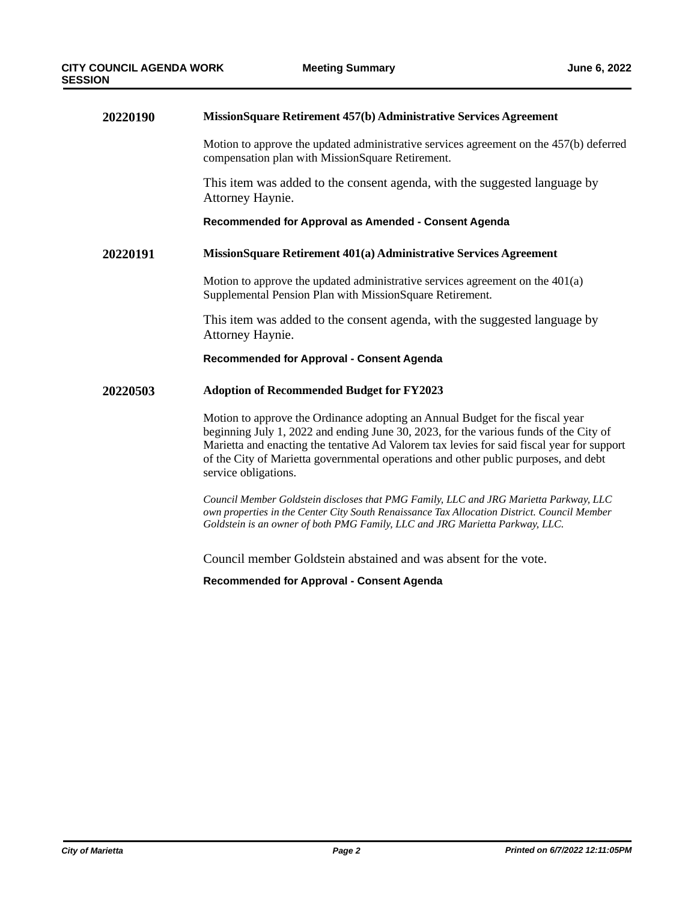| 20220190 | MissionSquare Retirement 457(b) Administrative Services Agreement                                                                                                                                                                                                                                                                                                                   |  |  |
|----------|-------------------------------------------------------------------------------------------------------------------------------------------------------------------------------------------------------------------------------------------------------------------------------------------------------------------------------------------------------------------------------------|--|--|
|          | Motion to approve the updated administrative services agreement on the 457(b) deferred<br>compensation plan with MissionSquare Retirement.                                                                                                                                                                                                                                          |  |  |
|          | This item was added to the consent agenda, with the suggested language by<br>Attorney Haynie.                                                                                                                                                                                                                                                                                       |  |  |
|          | Recommended for Approval as Amended - Consent Agenda                                                                                                                                                                                                                                                                                                                                |  |  |
| 20220191 | MissionSquare Retirement 401(a) Administrative Services Agreement                                                                                                                                                                                                                                                                                                                   |  |  |
|          | Motion to approve the updated administrative services agreement on the $401(a)$<br>Supplemental Pension Plan with MissionSquare Retirement.                                                                                                                                                                                                                                         |  |  |
|          | This item was added to the consent agenda, with the suggested language by<br>Attorney Haynie.                                                                                                                                                                                                                                                                                       |  |  |
|          | <b>Recommended for Approval - Consent Agenda</b>                                                                                                                                                                                                                                                                                                                                    |  |  |
| 20220503 | <b>Adoption of Recommended Budget for FY2023</b>                                                                                                                                                                                                                                                                                                                                    |  |  |
|          | Motion to approve the Ordinance adopting an Annual Budget for the fiscal year<br>beginning July 1, 2022 and ending June 30, 2023, for the various funds of the City of<br>Marietta and enacting the tentative Ad Valorem tax levies for said fiscal year for support<br>of the City of Marietta governmental operations and other public purposes, and debt<br>service obligations. |  |  |
|          | Council Member Goldstein discloses that PMG Family, LLC and JRG Marietta Parkway, LLC<br>own properties in the Center City South Renaissance Tax Allocation District. Council Member<br>Goldstein is an owner of both PMG Family, LLC and JRG Marietta Parkway, LLC.                                                                                                                |  |  |

Council member Goldstein abstained and was absent for the vote.

**Recommended for Approval - Consent Agenda**